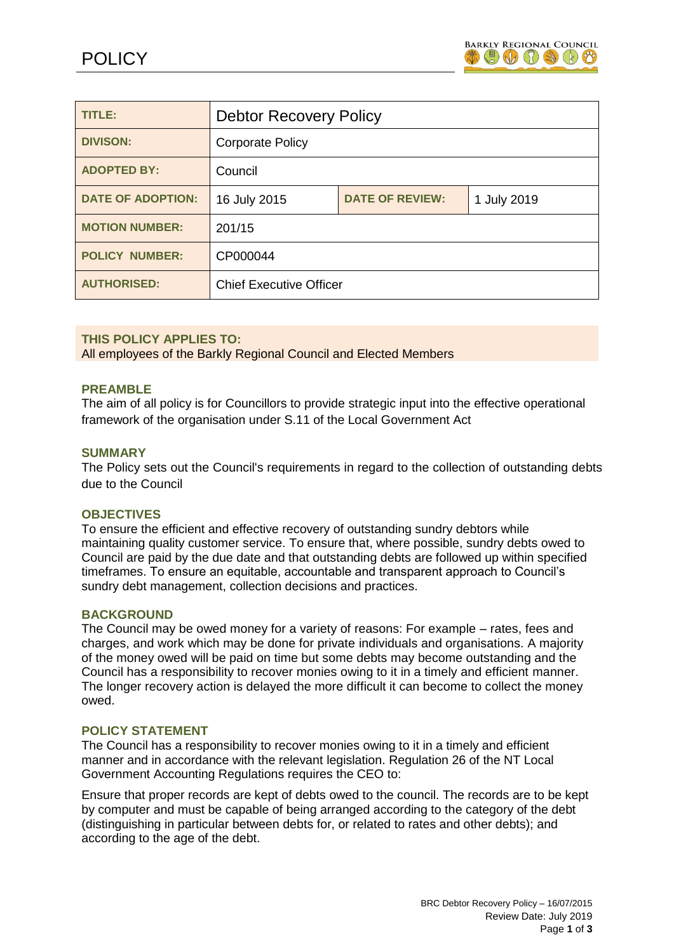

| TITLE:                   | <b>Debtor Recovery Policy</b>  |                        |             |
|--------------------------|--------------------------------|------------------------|-------------|
| <b>DIVISON:</b>          | <b>Corporate Policy</b>        |                        |             |
| <b>ADOPTED BY:</b>       | Council                        |                        |             |
| <b>DATE OF ADOPTION:</b> | 16 July 2015                   | <b>DATE OF REVIEW:</b> | 1 July 2019 |
| <b>MOTION NUMBER:</b>    | 201/15                         |                        |             |
| <b>POLICY NUMBER:</b>    | CP000044                       |                        |             |
| <b>AUTHORISED:</b>       | <b>Chief Executive Officer</b> |                        |             |

# **THIS POLICY APPLIES TO:**

All employees of the Barkly Regional Council and Elected Members

#### **PREAMBLE**

The aim of all policy is for Councillors to provide strategic input into the effective operational framework of the organisation under S.11 of the Local Government Act

#### **SUMMARY**

The Policy sets out the Council's requirements in regard to the collection of outstanding debts due to the Council

#### **OBJECTIVES**

To ensure the efficient and effective recovery of outstanding sundry debtors while maintaining quality customer service. To ensure that, where possible, sundry debts owed to Council are paid by the due date and that outstanding debts are followed up within specified timeframes. To ensure an equitable, accountable and transparent approach to Council's sundry debt management, collection decisions and practices.

#### **BACKGROUND**

The Council may be owed money for a variety of reasons: For example – rates, fees and charges, and work which may be done for private individuals and organisations. A majority of the money owed will be paid on time but some debts may become outstanding and the Council has a responsibility to recover monies owing to it in a timely and efficient manner. The longer recovery action is delayed the more difficult it can become to collect the money owed.

#### **POLICY STATEMENT**

The Council has a responsibility to recover monies owing to it in a timely and efficient manner and in accordance with the relevant legislation. Regulation 26 of the NT Local Government Accounting Regulations requires the CEO to:

Ensure that proper records are kept of debts owed to the council. The records are to be kept by computer and must be capable of being arranged according to the category of the debt (distinguishing in particular between debts for, or related to rates and other debts); and according to the age of the debt.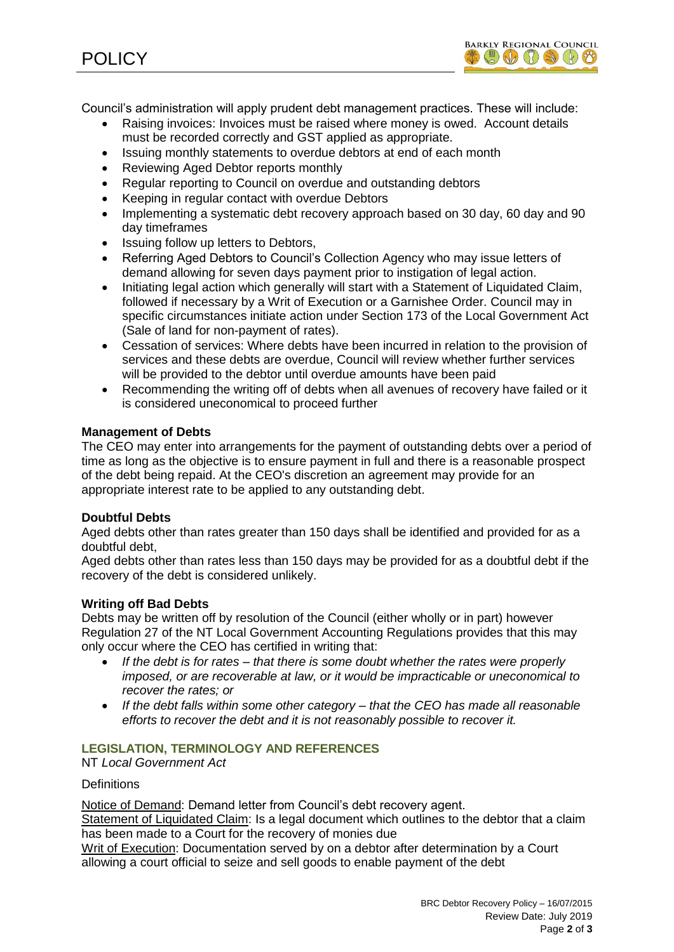

Council's administration will apply prudent debt management practices. These will include:

- Raising invoices: Invoices must be raised where money is owed. Account details must be recorded correctly and GST applied as appropriate.
- Issuing monthly statements to overdue debtors at end of each month
- Reviewing Aged Debtor reports monthly
- Regular reporting to Council on overdue and outstanding debtors
- Keeping in regular contact with overdue Debtors
- Implementing a systematic debt recovery approach based on 30 day, 60 day and 90 day timeframes
- Issuing follow up letters to Debtors,
- Referring Aged Debtors to Council's Collection Agency who may issue letters of demand allowing for seven days payment prior to instigation of legal action.
- Initiating legal action which generally will start with a Statement of Liquidated Claim, followed if necessary by a Writ of Execution or a Garnishee Order. Council may in specific circumstances initiate action under Section 173 of the Local Government Act (Sale of land for non-payment of rates).
- Cessation of services: Where debts have been incurred in relation to the provision of services and these debts are overdue, Council will review whether further services will be provided to the debtor until overdue amounts have been paid
- Recommending the writing off of debts when all avenues of recovery have failed or it is considered uneconomical to proceed further

# **Management of Debts**

The CEO may enter into arrangements for the payment of outstanding debts over a period of time as long as the objective is to ensure payment in full and there is a reasonable prospect of the debt being repaid. At the CEO's discretion an agreement may provide for an appropriate interest rate to be applied to any outstanding debt.

# **Doubtful Debts**

Aged debts other than rates greater than 150 days shall be identified and provided for as a doubtful debt,

Aged debts other than rates less than 150 days may be provided for as a doubtful debt if the recovery of the debt is considered unlikely.

# **Writing off Bad Debts**

Debts may be written off by resolution of the Council (either wholly or in part) however Regulation 27 of the NT Local Government Accounting Regulations provides that this may only occur where the CEO has certified in writing that:

- *If the debt is for rates – that there is some doubt whether the rates were properly imposed, or are recoverable at law, or it would be impracticable or uneconomical to recover the rates; or*
- *If the debt falls within some other category – that the CEO has made all reasonable efforts to recover the debt and it is not reasonably possible to recover it.*

# **LEGISLATION, TERMINOLOGY AND REFERENCES**

NT *Local Government Act*

**Definitions** 

Notice of Demand: Demand letter from Council's debt recovery agent.

Statement of Liquidated Claim: Is a legal document which outlines to the debtor that a claim has been made to a Court for the recovery of monies due

Writ of Execution: Documentation served by on a debtor after determination by a Court allowing a court official to seize and sell goods to enable payment of the debt